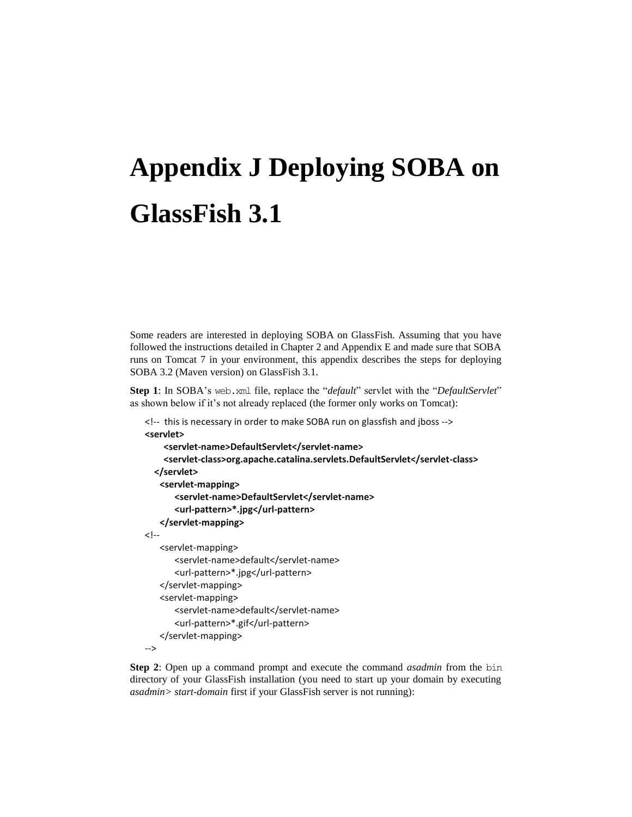## **Appendix J Deploying SOBA on GlassFish 3.1**

Some readers are interested in deploying SOBA on GlassFish. Assuming that you have followed the instructions detailed in Chapter 2 and Appendix E and made sure that SOBA runs on Tomcat 7 in your environment, this appendix describes the steps for deploying SOBA 3.2 (Maven version) on GlassFish 3.1.

**Step 1**: In SOBA's web.xml file, replace the "*default*" servlet with the "*DefaultServlet*" as shown below if it's not already replaced (the former only works on Tomcat):

```
<!-- this is necessary in order to make SOBA run on glassfish and jboss -->
<servlet>
     <servlet-name>DefaultServlet</servlet-name>
     <servlet-class>org.apache.catalina.servlets.DefaultServlet</servlet-class>
   </servlet>
   <servlet-mapping>
       <servlet-name>DefaultServlet</servlet-name>
       <url-pattern>*.jpg</url-pattern>
   </servlet-mapping>
\leftarrow<servlet-mapping>
       <servlet-name>default</servlet-name>
       <url-pattern>*.jpg</url-pattern>
   </servlet-mapping>
   <servlet-mapping>
       <servlet-name>default</servlet-name>
       <url-pattern>*.gif</url-pattern>
   </servlet-mapping>
-->
```
**Step 2**: Open up a command prompt and execute the command *asadmin* from the bin directory of your GlassFish installation (you need to start up your domain by executing *asadmin> start-domain* first if your GlassFish server is not running):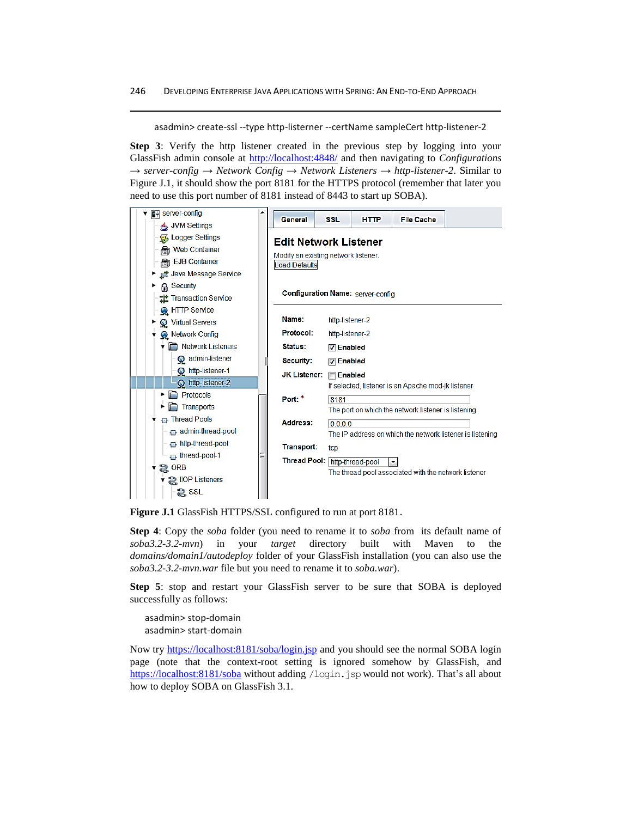asadmin> create-ssl --type http-listerner --certName sampleCert http-listener-2

**Step 3**: Verify the http listener created in the previous step by logging into your GlassFish admin console at<http://localhost:4848/> and then navigating to *Configurations → server-config → Network Config → Network Listeners → http-listener-2*. Similar to Figure J.1, it should show the port 8181 for the HTTPS protocol (remember that later you need to use this port number of 8181 instead of 8443 to start up SOBA).



**Figure J.1** GlassFish HTTPS/SSL configured to run at port 8181.

**Step 4**: Copy the *soba* folder (you need to rename it to *soba* from its default name of *soba3.2-3.2-mvn*) in your *target* directory built with Maven to the *domains/domain1/autodeploy* folder of your GlassFish installation (you can also use the *soba3.2-3.2-mvn.war* file but you need to rename it to *soba.war*).

**Step 5**: stop and restart your GlassFish server to be sure that SOBA is deployed successfully as follows:

asadmin> stop-domain asadmin> start-domain

Now try<https://localhost:8181/soba/login.jsp> and you should see the normal SOBA login page (note that the context-root setting is ignored somehow by GlassFish, and <https://localhost:8181/soba> without adding /login.jsp would not work). That's all about how to deploy SOBA on GlassFish 3.1.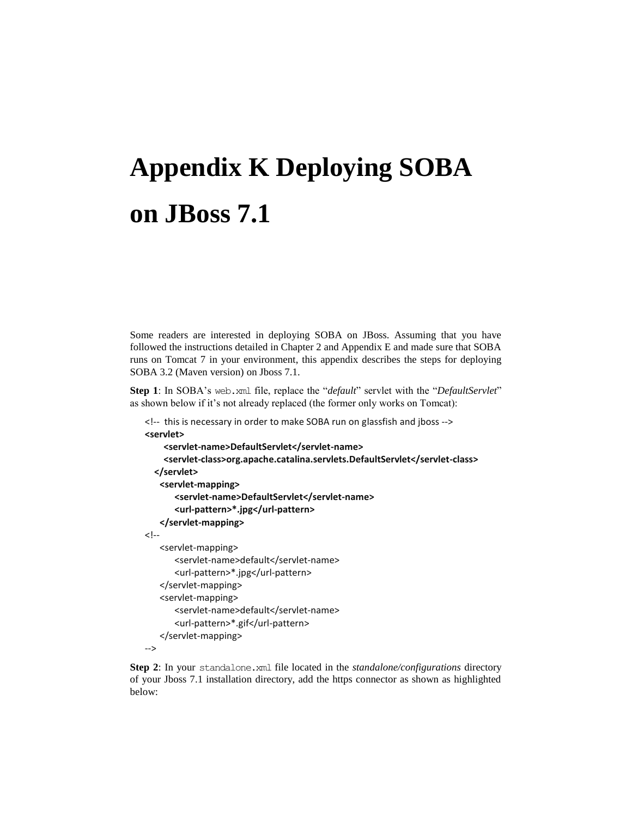## **Appendix K Deploying SOBA on JBoss 7.1**

Some readers are interested in deploying SOBA on JBoss. Assuming that you have followed the instructions detailed in Chapter 2 and Appendix E and made sure that SOBA runs on Tomcat 7 in your environment, this appendix describes the steps for deploying SOBA 3.2 (Maven version) on Jboss 7.1.

**Step 1**: In SOBA's web.xml file, replace the "*default*" servlet with the "*DefaultServlet*" as shown below if it's not already replaced (the former only works on Tomcat):

```
<!-- this is necessary in order to make SOBA run on glassfish and jboss -->
<servlet>
     <servlet-name>DefaultServlet</servlet-name>
     <servlet-class>org.apache.catalina.servlets.DefaultServlet</servlet-class>
   </servlet>
   <servlet-mapping>
       <servlet-name>DefaultServlet</servlet-name>
       <url-pattern>*.jpg</url-pattern>
   </servlet-mapping>
\leftarrow<servlet-mapping>
       <servlet-name>default</servlet-name>
       <url-pattern>*.jpg</url-pattern>
   </servlet-mapping>
   <servlet-mapping>
       <servlet-name>default</servlet-name>
       <url-pattern>*.gif</url-pattern>
   </servlet-mapping>
-->
```
**Step 2**: In your standalone.xml file located in the *standalone/configurations* directory of your Jboss 7.1 installation directory, add the https connector as shown as highlighted below: